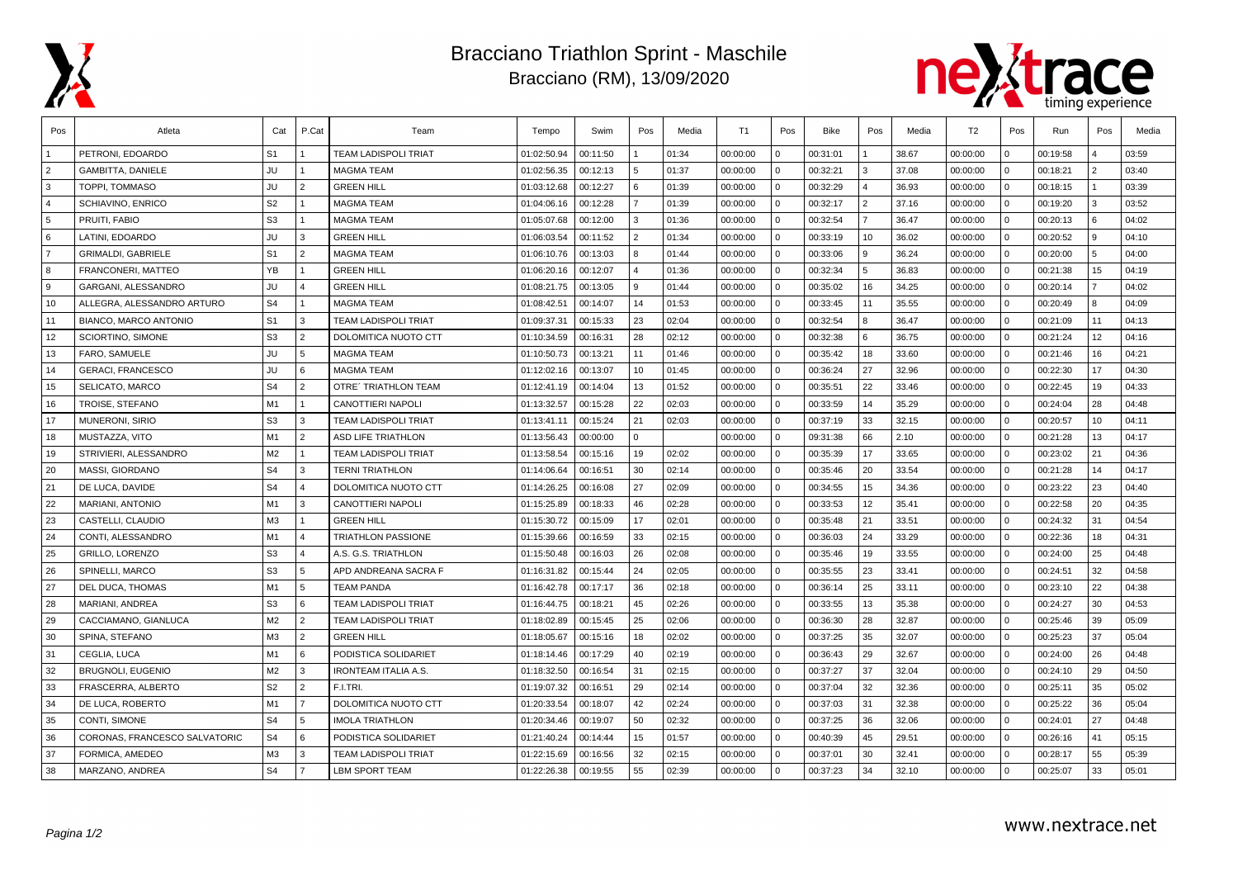

## Bracciano Triathlon Sprint - Maschile Bracciano (RM), 13/09/2020



| Pos            | Atleta                        | Cat            | P.Cat          | Team                        | Tempo       | Swim     | Pos           | Media | T1       | Pos          | Bike     | Pos            | Media | T <sub>2</sub> | Pos         | Run      | Pos            | Media |
|----------------|-------------------------------|----------------|----------------|-----------------------------|-------------|----------|---------------|-------|----------|--------------|----------|----------------|-------|----------------|-------------|----------|----------------|-------|
|                | PETRONI, EDOARDO              | S <sub>1</sub> |                | <b>TEAM LADISPOLI TRIAT</b> | 01:02:50.94 | 00:11:50 |               | 01:34 | 00:00:00 | $\Omega$     | 00:31:01 |                | 38.67 | 00:00:00       | $\Omega$    | 00:19:58 |                | 03:59 |
| $\overline{2}$ | <b>GAMBITTA, DANIELE</b>      | <b>JU</b>      |                | <b>MAGMA TEAM</b>           | 01:02:56.35 | 00:12:13 | 5             | 01:37 | 00:00:00 | $\Omega$     | 00:32:21 | 3              | 37.08 | 00:00:00       | $\Omega$    | 00:18:21 | $\mathfrak{p}$ | 03:40 |
| l 3            | TOPPI, TOMMASO                | JU             | 2              | <b>GREEN HILL</b>           | 01:03:12.68 | 00:12:27 | 6             | 01:39 | 00:00:00 | $\Omega$     | 00:32:29 | $\overline{a}$ | 36.93 | 00:00:00       | $\Omega$    | 00:18:15 |                | 03:39 |
| $\overline{4}$ | SCHIAVINO, ENRICO             | S <sub>2</sub> | $\overline{1}$ | <b>MAGMA TEAM</b>           | 01:04:06.16 | 00:12:28 |               | 01:39 | 00:00:00 | $\Omega$     | 00:32:17 | 2              | 37.16 | 00:00:00       | $\Omega$    | 00:19:20 | 3              | 03:52 |
| 5              | PRUITI, FABIO                 | S <sub>3</sub> |                | <b>MAGMA TEAM</b>           | 01:05:07.68 | 00:12:00 | 3             | 01:36 | 00:00:00 | $\Omega$     | 00:32:54 | $\overline{7}$ | 36.47 | 00:00:00       | $\Omega$    | 00:20:13 | 6              | 04:02 |
| l 6            | LATINI. EDOARDO               | JU             | 3              | <b>GREEN HILL</b>           | 01:06:03.54 | 00:11:52 | $\mathcal{P}$ | 01:34 | 00:00:00 | $\Omega$     | 00:33:19 | 10             | 36.02 | 00:00:00       | $\Omega$    | 00:20:52 | 9              | 04:10 |
| $\overline{7}$ | <b>GRIMALDI, GABRIELE</b>     | S <sub>1</sub> | 2              | <b>MAGMA TEAM</b>           | 01:06:10.76 | 00:13:03 | 8             | 01:44 | 00:00:00 | $\Omega$     | 00:33:06 | l 9            | 36.24 | 00:00:00       | $\Omega$    | 00:20:00 | 5              | 04:00 |
| l 8            | <b>FRANCONERI, MATTEO</b>     | <b>YB</b>      |                | <b>GREEN HILL</b>           | 01:06:20.16 | 00:12:07 |               | 01:36 | 00:00:00 | $\Omega$     | 00:32:34 | 5              | 36.83 | 00:00:00       | $\Omega$    | 00:21:38 | 15             | 04:19 |
| l 9            | GARGANI, ALESSANDRO           | JU             | $\overline{4}$ | <b>GREEN HILL</b>           | 01:08:21.75 | 00:13:05 | 9             | 01:44 | 00:00:00 | $\Omega$     | 00:35:02 | 16             | 34.25 | 00:00:00       | $\Omega$    | 00:20:14 | $\overline{7}$ | 04:02 |
| 10             | ALLEGRA, ALESSANDRO ARTURO    | S <sub>4</sub> |                | <b>MAGMA TEAM</b>           | 01:08:42.51 | 00:14:07 | 14            | 01:53 | 00:00:00 | $\Omega$     | 00:33:45 | 11             | 35.55 | 00:00:00       | $\Omega$    | 00:20:49 | 8              | 04:09 |
| 11             | <b>BIANCO, MARCO ANTONIO</b>  | S <sub>1</sub> | 3              | <b>TEAM LADISPOLI TRIAT</b> | 01:09:37.31 | 00:15:33 | 23            | 02:04 | 00:00:00 | $\mathbf{0}$ | 00:32:54 | 8              | 36.47 | 00:00:00       | $\Omega$    | 00:21:09 | 11             | 04:13 |
| 12             | SCIORTINO, SIMONE             | S <sub>3</sub> | $\overline{2}$ | DOLOMITICA NUOTO CTT        | 01:10:34.59 | 00:16:31 | 28            | 02:12 | 00:00:00 | $\Omega$     | 00:32:38 | 6 I            | 36.75 | 00:00:00       | $\Omega$    | 00:21:24 | 12             | 04:16 |
| 13             | FARO, SAMUELE                 | JU             | 5              | <b>MAGMA TEAM</b>           | 01:10:50.73 | 00:13:21 | 11            | 01:46 | 00:00:00 | $\Omega$     | 00:35:42 | 18             | 33.60 | 00:00:00       | $\Omega$    | 00:21:46 | 16             | 04:21 |
| 14             | <b>GERACI, FRANCESCO</b>      | JU             | 6              | <b>MAGMA TEAM</b>           | 01:12:02.16 | 00:13:07 | 10            | 01:45 | 00:00:00 | $\mathbf 0$  | 00:36:24 | 27             | 32.96 | 00:00:00       | $\Omega$    | 00:22:30 | 17             | 04:30 |
| 15             | SELICATO, MARCO               | S <sub>4</sub> | 2              | <b>OTRE' TRIATHLON TEAM</b> | 01:12:41.19 | 00:14:04 | 13            | 01:52 | 00:00:00 | $\Omega$     | 00:35:51 | 22             | 33.46 | 00:00:00       | $\Omega$    | 00:22:45 | 19             | 04:33 |
| 16             | TROISE, STEFANO               | M1             | $\overline{1}$ | CANOTTIERI NAPOLI           | 01:13:32.57 | 00:15:28 | 22            | 02:03 | 00:00:00 | $\mathbf 0$  | 00:33:59 | 14             | 35.29 | 00:00:00       | $\Omega$    | 00:24:04 | 28             | 04:48 |
| 17             | <b>MUNERONI, SIRIO</b>        | S <sub>3</sub> | 3              | <b>TEAM LADISPOLI TRIAT</b> | 01:13:41.11 | 00:15:24 | 21            | 02:03 | 00:00:00 | $\Omega$     | 00:37:19 | 33             | 32.15 | 00:00:00       | $\Omega$    | 00:20:57 | 10             | 04:11 |
| 18             | MUSTAZZA, VITO                | M1             | 2              | <b>ASD LIFE TRIATHLON</b>   | 01:13:56.43 | 00:00:00 | $\Omega$      |       | 00:00:00 | $\Omega$     | 09:31:38 | 66             | 2.10  | 00:00:00       | $\Omega$    | 00:21:28 | 13             | 04:17 |
| 19             | STRIVIERI, ALESSANDRO         | M <sub>2</sub> | $\mathbf{1}$   | <b>TEAM LADISPOLI TRIAT</b> | 01:13:58.54 | 00:15:16 | 19            | 02:02 | 00:00:00 | $\Omega$     | 00:35:39 | 17             | 33.65 | 00:00:00       | $\Omega$    | 00:23:02 | 21             | 04:36 |
| 20             | MASSI, GIORDANO               | S <sub>4</sub> | 3              | <b>TERNI TRIATHLON</b>      | 01:14:06.64 | 00:16:51 | 30            | 02:14 | 00:00:00 | $\Omega$     | 00:35:46 | 20             | 33.54 | 00:00:00       | $\Omega$    | 00:21:28 | 14             | 04:17 |
| 21             | DE LUCA, DAVIDE               | S <sub>4</sub> | $\overline{4}$ | DOLOMITICA NUOTO CTT        | 01:14:26.25 | 00:16:08 | 27            | 02:09 | 00:00:00 | $\Omega$     | 00:34:55 | 15             | 34.36 | 00:00:00       | $\Omega$    | 00:23:22 | 23             | 04:40 |
| 22             | <b>MARIANI, ANTONIO</b>       | M1             | 3              | <b>CANOTTIERI NAPOLI</b>    | 01:15:25.89 | 00:18:33 | 46            | 02:28 | 00:00:00 | $\Omega$     | 00:33:53 | 12             | 35.41 | 00:00:00       | $\Omega$    | 00:22:58 | 20             | 04:35 |
| 23             | CASTELLI, CLAUDIO             | M <sub>3</sub> |                | <b>GREEN HILL</b>           | 01:15:30.72 | 00:15:09 | 17            | 02:01 | 00:00:00 | $\mathbf 0$  | 00:35:48 | 21             | 33.51 | 00:00:00       | $\Omega$    | 00:24:32 | 31             | 04:54 |
| 24             | CONTI, ALESSANDRO             | M1             | $\overline{4}$ | <b>TRIATHLON PASSIONE</b>   | 01:15:39.66 | 00:16:59 | 33            | 02:15 | 00:00:00 | $\mathbf{0}$ | 00:36:03 | 24             | 33.29 | 00:00:00       | $\mathbf 0$ | 00:22:36 | 18             | 04:31 |
| 25             | <b>GRILLO, LORENZO</b>        | S <sub>3</sub> | $\overline{4}$ | A.S. G.S. TRIATHLON         | 01:15:50.48 | 00:16:03 | 26            | 02:08 | 00:00:00 | $\mathbf 0$  | 00:35:46 | 19             | 33.55 | 00:00:00       | $\mathbf 0$ | 00:24:00 | 25             | 04:48 |
| 26             | SPINELLI, MARCO               | S <sub>3</sub> | 5              | APD ANDREANA SACRA F        | 01:16:31.82 | 00:15:44 | 24            | 02:05 | 00:00:00 | $\Omega$     | 00:35:55 | 23             | 33.41 | 00:00:00       | $\Omega$    | 00:24:51 | 32             | 04:58 |
| 27             | DEL DUCA, THOMAS              | M1             | $5^{\circ}$    | <b>TEAM PANDA</b>           | 01:16:42.78 | 00:17:17 | 36            | 02:18 | 00:00:00 | $\Omega$     | 00:36:14 | 25             | 33.11 | 00:00:00       | $\Omega$    | 00:23:10 | 22             | 04:38 |
| 28             | MARIANI, ANDREA               | S3             | 6              | <b>TEAM LADISPOLI TRIAT</b> | 01:16:44.75 | 00:18:21 | 45            | 02:26 | 00:00:00 | $\Omega$     | 00:33:55 | 13             | 35.38 | 00:00:00       | $\Omega$    | 00:24:27 | 30             | 04:53 |
| 29             | CACCIAMANO, GIANLUCA          | M <sub>2</sub> | $\overline{2}$ | <b>TEAM LADISPOLI TRIAT</b> | 01:18:02.89 | 00:15:45 | 25            | 02:06 | 00:00:00 | $\mathbf 0$  | 00:36:30 | 28             | 32.87 | 00:00:00       | $\Omega$    | 00:25:46 | 39             | 05:09 |
| 30             | SPINA, STEFANO                | M <sub>3</sub> | $\overline{2}$ | <b>GREEN HILL</b>           | 01:18:05.67 | 00:15:16 | 18            | 02:02 | 00:00:00 | $\Omega$     | 00:37:25 | 35             | 32.07 | 00:00:00       | $\Omega$    | 00:25:23 | 37             | 05:04 |
| 31             | CEGLIA, LUCA                  | M1             | 6              | PODISTICA SOLIDARIET        | 01:18:14.46 | 00:17:29 | 40            | 02:19 | 00:00:00 | $\mathbf{0}$ | 00:36:43 | 29             | 32.67 | 00:00:00       | $\Omega$    | 00:24:00 | 26             | 04:48 |
| 32             | <b>BRUGNOLI, EUGENIO</b>      | M <sub>2</sub> | 3              | <b>IRONTEAM ITALIA A.S.</b> | 01:18:32.50 | 00:16:54 | 31            | 02:15 | 00:00:00 | $\mathbf{0}$ | 00:37:27 | 37             | 32.04 | 00:00:00       | $\Omega$    | 00:24:10 | 29             | 04:50 |
| 33             | FRASCERRA, ALBERTO            | S <sub>2</sub> | 2              | F.I.TRI.                    | 01:19:07.32 | 00:16:51 | 29            | 02:14 | 00:00:00 | $\mathbf{0}$ | 00:37:04 | 32             | 32.36 | 00:00:00       | $\Omega$    | 00:25:11 | 35             | 05:02 |
| 34             | DE LUCA, ROBERTO              | M1             | $\overline{7}$ | DOLOMITICA NUOTO CTT        | 01:20:33.54 | 00:18:07 | 42            | 02:24 | 00:00:00 | $\Omega$     | 00:37:03 | 31             | 32.38 | 00:00:00       | $\Omega$    | 00:25:22 | 36             | 05:04 |
| 35             | CONTI, SIMONE                 | S <sub>4</sub> | 5              | <b>IMOLA TRIATHLON</b>      | 01:20:34.46 | 00:19:07 | 50            | 02:32 | 00:00:00 | $\Omega$     | 00:37:25 | 36             | 32.06 | 00:00:00       | $\Omega$    | 00:24:01 | 27             | 04:48 |
| 36             | CORONAS, FRANCESCO SALVATORIC | S <sub>4</sub> | 6              | PODISTICA SOLIDARIET        | 01:21:40.24 | 00:14:44 | 15            | 01:57 | 00:00:00 | $\Omega$     | 00:40:39 | 45             | 29.51 | 00:00:00       | $\Omega$    | 00:26:16 | 41             | 05:15 |
| 37             | FORMICA, AMEDEO               | M3             | 3              | <b>TEAM LADISPOLI TRIAT</b> | 01:22:15.69 | 00:16:56 | 32            | 02:15 | 00:00:00 | $\Omega$     | 00:37:01 | 30             | 32.41 | 00:00:00       | $\Omega$    | 00:28:17 | 55             | 05:39 |
| 38             | MARZANO, ANDREA               | S <sub>4</sub> | $\overline{7}$ | <b>LBM SPORT TEAM</b>       | 01:22:26.38 | 00:19:55 | 55            | 02:39 | 00:00:00 | $\Omega$     | 00:37:23 | 34             | 32.10 | 00:00:00       | $\Omega$    | 00:25:07 | 33             | 05:01 |